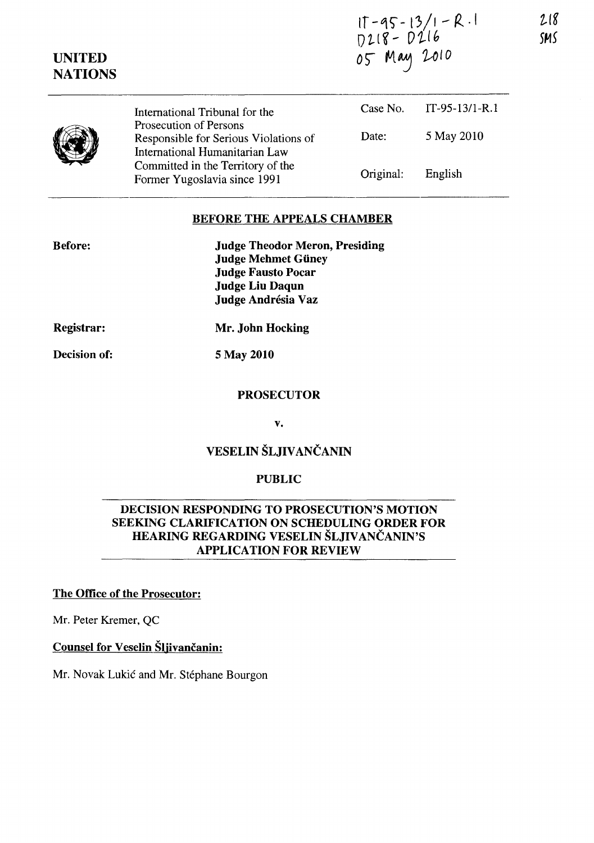|             | IT-95-13/1–R .I<br>D218– D216 |
|-------------|-------------------------------|
|             |                               |
| 05 May 2010 |                               |

| <b>NATIONS</b> |                                                                                                   |           |                  |
|----------------|---------------------------------------------------------------------------------------------------|-----------|------------------|
|                | International Tribunal for the                                                                    | Case No.  | $IT-95-13/1-R.1$ |
|                | Prosecution of Persons<br>Responsible for Serious Violations of<br>International Humanitarian Law | Date:     | 5 May 2010       |
|                | Committed in the Territory of the<br>Former Yugoslavia since 1991                                 | Original: | English          |

#### BEFORE THE APPEALS CHAMBER

| <b>Before:</b> | <b>Judge Theodor Meron, Presiding</b> |
|----------------|---------------------------------------|
|                | <b>Judge Mehmet Güney</b>             |
|                | <b>Judge Fausto Pocar</b>             |
|                | <b>Judge Liu Daqun</b>                |
|                | Judge Andrésia Vaz                    |

Registrar:

UNITED

Mr. John Hocking

Decision of:

5 May 2010

## **PROSECUTOR**

v.

# VESELIN ŠLJIVANČANIN

## PUBLIC

## DECISION RESPONDING TO PROSECUTION'S MOTION SEEKING CLARIFICATION ON SCHEDULING ORDER FOR HEARING REGARDING VESELIN ŠLJIVANČANIN'S APPLICATION FOR REVIEW

## The Office of the Prosecutor:

Mr. Peter Kremer, QC

## Counsel for Veselin Šljivančanin:

Mr. Novak Lukic and Mr. Stephane Bourgon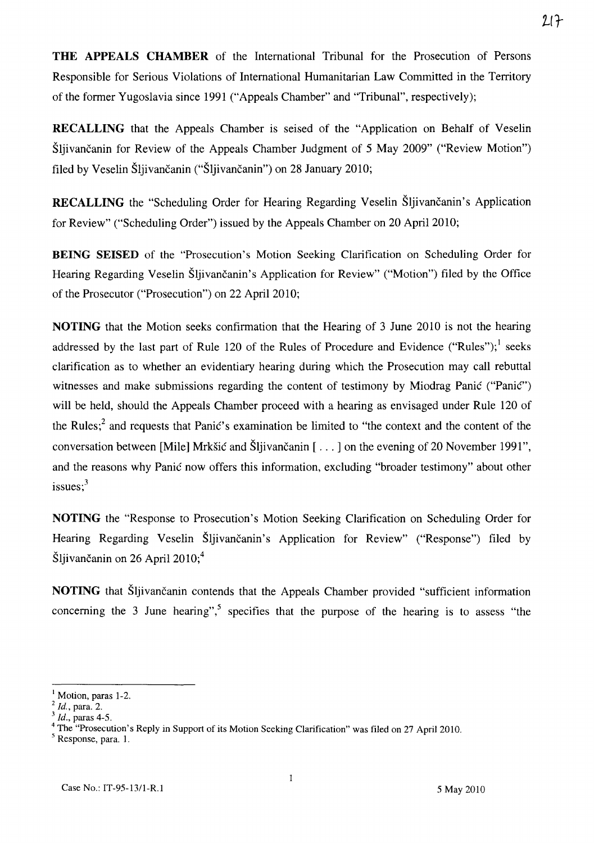**THE APPEALS CHAMBER** of the International Tribunal for the Prosecution of Persons Responsible for Serious Violations of International Humanitarian Law Committed in the Territory of the former Yugoslavia since 1991 ("Appeals Chamber" and "Tribunal", respectively);

**RECALLING** that the Appeals Chamber is seised of the "Application on Behalf of Veselin Sljivancanin for Review of the Appeals Chamber Judgment of 5 May 2009" ("Review Motion") filed by Veselin Šljivančanin ("Šljivančanin") on 28 January 2010;

RECALLING the "Scheduling Order for Hearing Regarding Veselin Šljivančanin's Application for Review" ("Scheduling Order") issued by the Appeals Chamber on 20 April 2010;

**BEING SEISED** of the "Prosecution's Motion Seeking Clarification on Scheduling Order for Hearing Regarding Veselin Sljivancanin's Application for Review" ("Motion") filed by the Office of the Prosecutor ("Prosecution") on 22 April 2010;

**NOTING** that the Motion seeks confirmation that the Hearing of 3 June 2010 is not the hearing addressed by the last part of Rule 120 of the Rules of Procedure and Evidence ("Rules");<sup>1</sup> seeks clarification as to whether an evidentiary hearing during which the Prosecution may call rebuttal witnesses and make submissions regarding the content of testimony by Miodrag Panic ("Panic") will be held, should the Appeals Chamber proceed with a hearing as envisaged under Rule 120 of the Rules;<sup>2</sup> and requests that Panic's examination be limited to "the context and the content of the conversation between [Mile] Mrkšić and Šljivančanin [...] on the evening of 20 November 1991", and the reasons why Panic now offers this information, excluding "broader testimony" about other issues; $3$ 

**NOTING** the "Response to Prosecution's Motion Seeking Clarification on Scheduling Order for Hearing Regarding Veselin Šljivančanin's Application for Review" ("Response") filed by Šljivančanin on 26 April 2010; $4$ 

**NOTING** that Šljivančanin contends that the Appeals Chamber provided "sufficient information concerning the 3 June hearing",<sup>5</sup> specifies that the purpose of the hearing is to assess "the

<sup>&</sup>lt;sup>1</sup> Motion, paras 1-2.

<sup>2</sup>*Id.,* para. 2.

*<sup>3</sup> Id.,* paras 4-5.

<sup>&</sup>lt;sup>4</sup> The "Prosecution's Reply in Support of its Motion Seeking Clarification" was filed on 27 April 2010.

<sup>&</sup>lt;sup>5</sup> Response, para. 1.